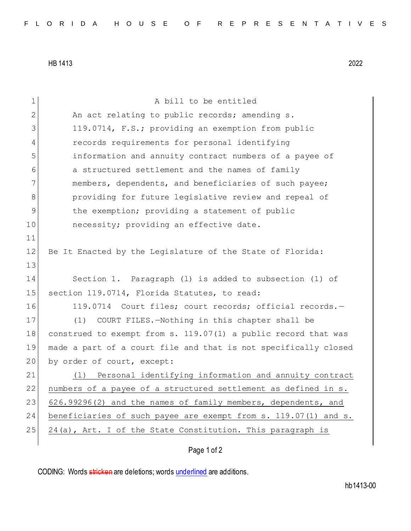HB 1413 2022

| $\mathbf 1$    | A bill to be entitled                                           |
|----------------|-----------------------------------------------------------------|
| $\mathbf{2}$   | An act relating to public records; amending s.                  |
| 3              | 119.0714, F.S.; providing an exemption from public              |
| $\overline{4}$ | records requirements for personal identifying                   |
| 5              | information and annuity contract numbers of a payee of          |
| 6              | a structured settlement and the names of family                 |
| 7              | members, dependents, and beneficiaries of such payee;           |
| 8              | providing for future legislative review and repeal of           |
| $\overline{9}$ | the exemption; providing a statement of public                  |
| 10             | necessity; providing an effective date.                         |
| 11             |                                                                 |
| 12             | Be It Enacted by the Legislature of the State of Florida:       |
| 13             |                                                                 |
| 14             | Section 1. Paragraph (1) is added to subsection (1) of          |
| 15             | section 119.0714, Florida Statutes, to read:                    |
| 16             | 119.0714 Court files; court records; official records.-         |
| 17             | (1)<br>COURT FILES.-Nothing in this chapter shall be            |
| 18             | construed to exempt from s. 119.07(1) a public record that was  |
| 19             | made a part of a court file and that is not specifically closed |
| 20             | by order of court, except:                                      |
| 21             | Personal identifying information and annuity contract<br>(1)    |
| 22             | numbers of a payee of a structured settlement as defined in s.  |
| 23             | 626.99296(2) and the names of family members, dependents, and   |
| 24             | beneficiaries of such payee are exempt from s. 119.07(1) and s. |
| 25             | 24(a), Art. I of the State Constitution. This paragraph is      |
|                |                                                                 |

## Page 1 of 2

CODING: Words stricken are deletions; words underlined are additions.